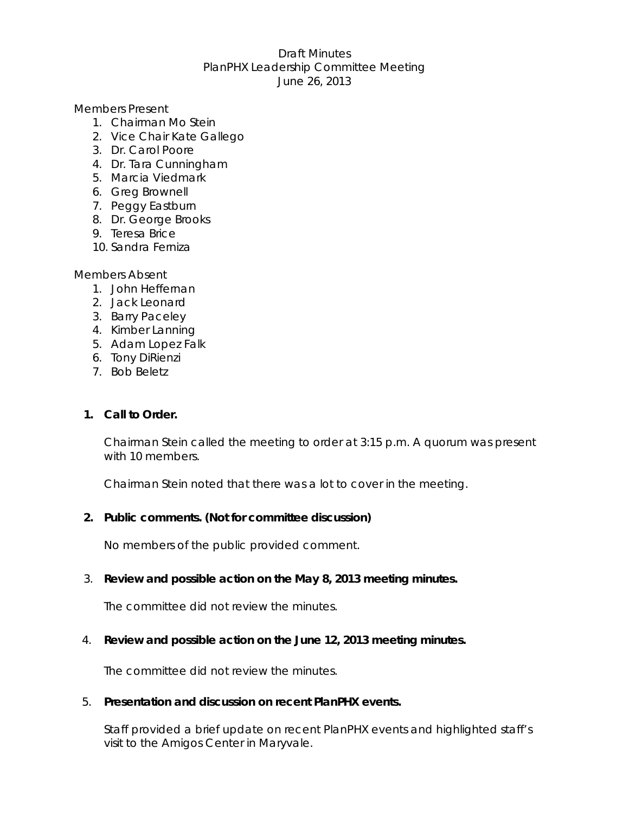### Draft Minutes PlanPHX Leadership Committee Meeting June 26, 2013

### Members Present

- 1. Chairman Mo Stein
- 2. Vice Chair Kate Gallego
- 3. Dr. Carol Poore
- 4. Dr. Tara Cunningham
- 5. Marcia Viedmark
- 6. Greg Brownell
- 7. Peggy Eastburn
- 8. Dr. George Brooks
- 9. Teresa Brice
- 10. Sandra Ferniza

### Members Absent

- 1. John Heffernan
- 2. Jack Leonard
- 3. Barry Paceley
- 4. Kimber Lanning
- 5. Adam Lopez Falk
- 6. Tony DiRienzi
- 7. Bob Beletz

# **1. Call to Order.**

Chairman Stein called the meeting to order at 3:15 p.m. A quorum was present with 10 members.

Chairman Stein noted that there was a lot to cover in the meeting.

# **2. Public comments. (Not for committee discussion)**

No members of the public provided comment.

3. **Review and possible action on the May 8, 2013 meeting minutes.** 

The committee did not review the minutes.

# 4. **Review and possible action on the June 12, 2013 meeting minutes.**

The committee did not review the minutes.

# 5. **Presentation and discussion on recent PlanPHX events.**

Staff provided a brief update on recent PlanPHX events and highlighted staff's visit to the Amigos Center in Maryvale.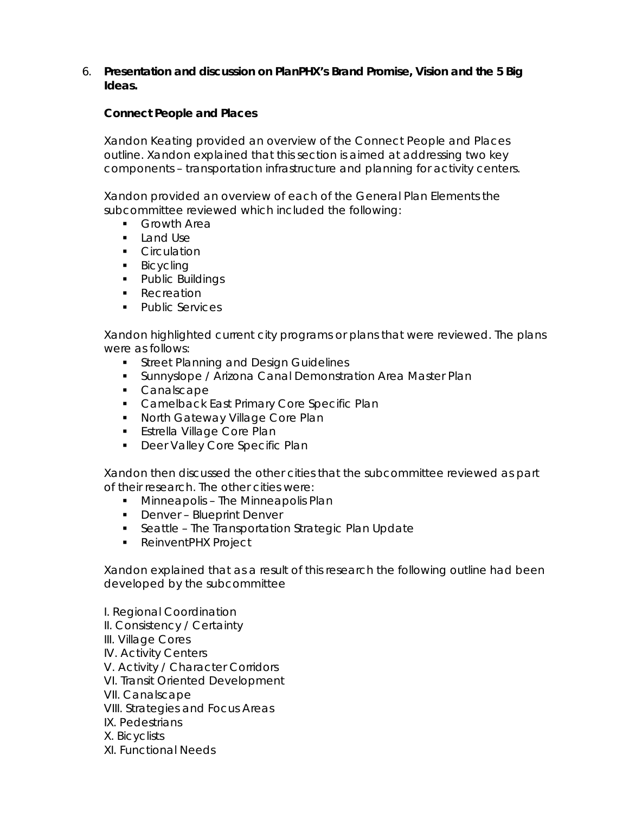6. **Presentation and discussion on PlanPHX's Brand Promise, Vision and the 5 Big Ideas.** 

### *Connect People and Places*

Xandon Keating provided an overview of the Connect People and Places outline. Xandon explained that this section is aimed at addressing two key components – transportation infrastructure and planning for activity centers.

Xandon provided an overview of each of the General Plan Elements the subcommittee reviewed which included the following:

- **Growth Area**
- **Land Use**
- **Circulation**
- **Bicycling**
- Public Buildings
- **Recreation**
- **Public Services**

Xandon highlighted current city programs or plans that were reviewed. The plans were as follows:

- **Street Planning and Design Guidelines**
- **Sunnyslope / Arizona Canal Demonstration Area Master Plan**
- Canalscape
- **Camelback East Primary Core Specific Plan**
- **North Gateway Village Core Plan**
- **Estrella Village Core Plan**
- **-** Deer Valley Core Specific Plan

Xandon then discussed the other cities that the subcommittee reviewed as part of their research. The other cities were:

- **Minneapolis The Minneapolis Plan**
- Denver Blueprint Denver
- **Seattle The Transportation Strategic Plan Update**
- **ReinventPHX Project**

Xandon explained that as a result of this research the following outline had been developed by the subcommittee

I. Regional Coordination II. Consistency / Certainty III. Village Cores IV. Activity Centers V. Activity / Character Corridors VI. Transit Oriented Development VII. Canalscape VIII. Strategies and Focus Areas IX. Pedestrians X. Bicyclists XI. Functional Needs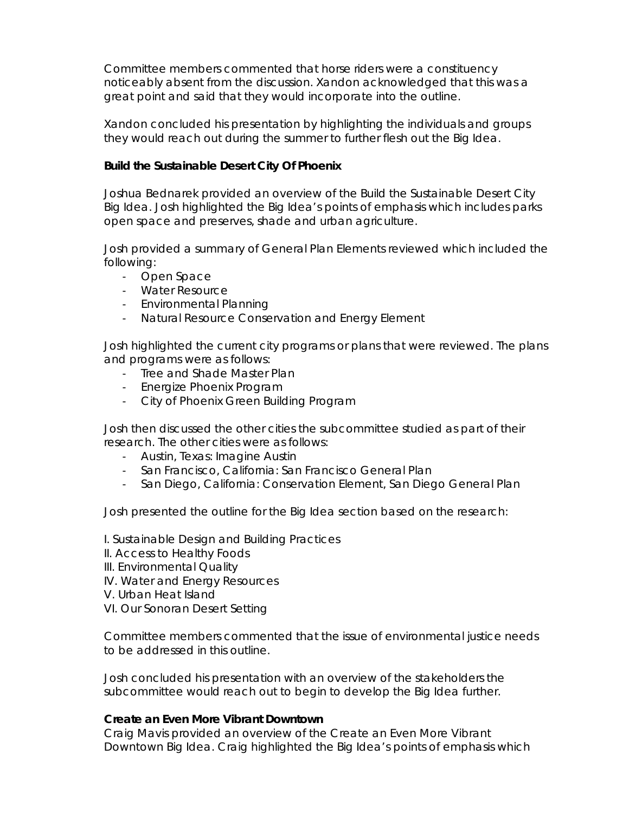Committee members commented that horse riders were a constituency noticeably absent from the discussion. Xandon acknowledged that this was a great point and said that they would incorporate into the outline.

Xandon concluded his presentation by highlighting the individuals and groups they would reach out during the summer to further flesh out the Big Idea.

### *Build the Sustainable Desert City Of Phoenix*

Joshua Bednarek provided an overview of the Build the Sustainable Desert City Big Idea. Josh highlighted the Big Idea's points of emphasis which includes parks open space and preserves, shade and urban agriculture.

Josh provided a summary of General Plan Elements reviewed which included the following:

- Open Space
- Water Resource
- Environmental Planning
- Natural Resource Conservation and Energy Element

Josh highlighted the current city programs or plans that were reviewed. The plans and programs were as follows:

- Tree and Shade Master Plan
- Energize Phoenix Program
- City of Phoenix Green Building Program

Josh then discussed the other cities the subcommittee studied as part of their research. The other cities were as follows:

- Austin, Texas: Imagine Austin
- San Francisco, California: San Francisco General Plan
- San Diego, California: Conservation Element, San Diego General Plan

Josh presented the outline for the Big Idea section based on the research:

I. Sustainable Design and Building Practices

- II. Access to Healthy Foods
- III. Environmental Quality
- IV. Water and Energy Resources
- V. Urban Heat Island
- VI. Our Sonoran Desert Setting

Committee members commented that the issue of environmental justice needs to be addressed in this outline.

Josh concluded his presentation with an overview of the stakeholders the subcommittee would reach out to begin to develop the Big Idea further.

### *Create an Even More Vibrant Downtown*

Craig Mavis provided an overview of the Create an Even More Vibrant Downtown Big Idea. Craig highlighted the Big Idea's points of emphasis which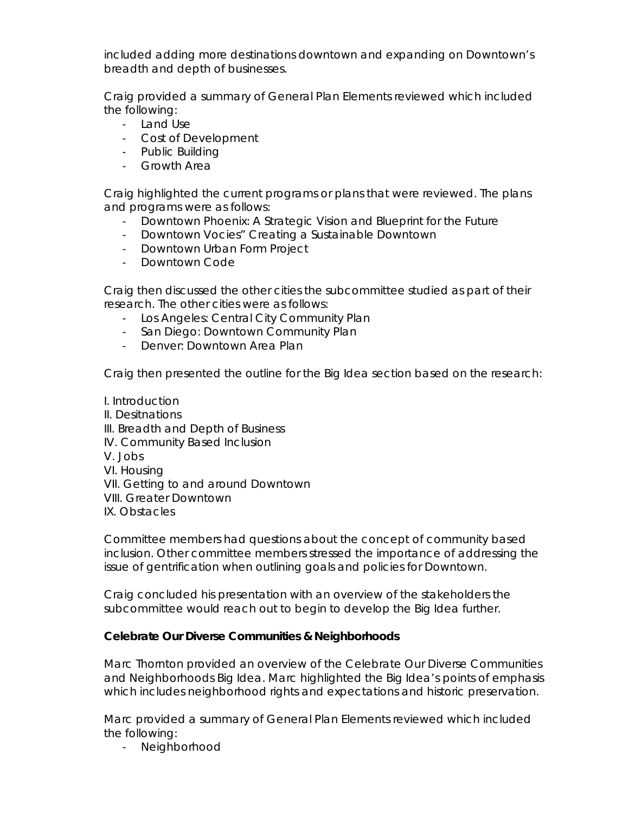included adding more destinations downtown and expanding on Downtown's breadth and depth of businesses.

Craig provided a summary of General Plan Elements reviewed which included the following:

- Land Use
- Cost of Development
- Public Building
- Growth Area

Craig highlighted the current programs or plans that were reviewed. The plans and programs were as follows:

- Downtown Phoenix: A Strategic Vision and Blueprint for the Future
- Downtown Vocies" Creating a Sustainable Downtown
- Downtown Urban Form Project
- Downtown Code

Craig then discussed the other cities the subcommittee studied as part of their research. The other cities were as follows:

- Los Angeles: Central City Community Plan
- San Diego: Downtown Community Plan
- Denver: Downtown Area Plan

Craig then presented the outline for the Big Idea section based on the research:

I. Introduction II. Desitnations III. Breadth and Depth of Business IV. Community Based Inclusion V. Jobs VI. Housing VII. Getting to and around Downtown VIII. Greater Downtown IX. Obstacles

Committee members had questions about the concept of community based inclusion. Other committee members stressed the importance of addressing the issue of gentrification when outlining goals and policies for Downtown.

Craig concluded his presentation with an overview of the stakeholders the subcommittee would reach out to begin to develop the Big Idea further.

### *Celebrate Our Diverse Communities & Neighborhoods*

Marc Thornton provided an overview of the Celebrate Our Diverse Communities and Neighborhoods Big Idea. Marc highlighted the Big Idea's points of emphasis which includes neighborhood rights and expectations and historic preservation.

Marc provided a summary of General Plan Elements reviewed which included the following:

- Neighborhood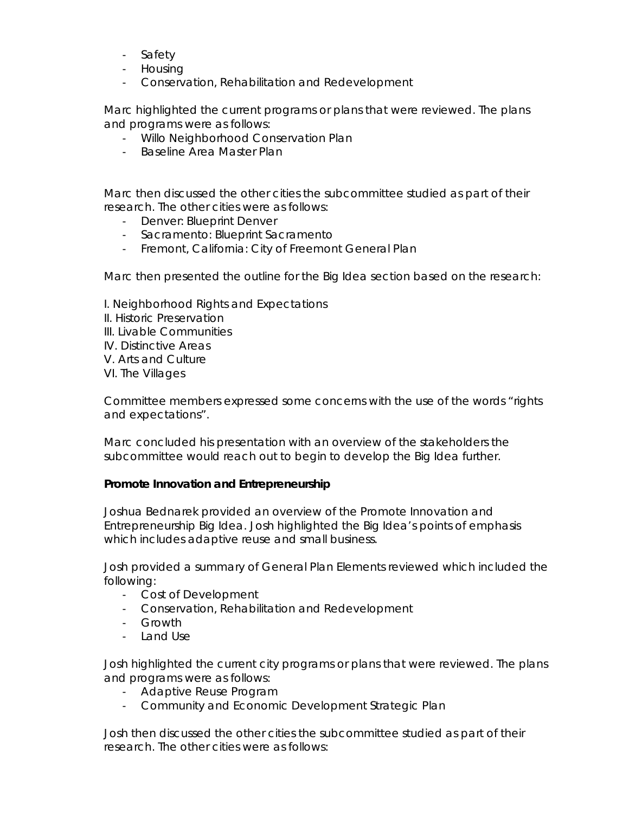- Safety
- Housing
- Conservation, Rehabilitation and Redevelopment

Marc highlighted the current programs or plans that were reviewed. The plans and programs were as follows:

- Willo Neighborhood Conservation Plan
- Baseline Area Master Plan

Marc then discussed the other cities the subcommittee studied as part of their research. The other cities were as follows:

- Denver: Blueprint Denver
- Sacramento: Blueprint Sacramento
- Fremont, California: City of Freemont General Plan

Marc then presented the outline for the Big Idea section based on the research:

- I. Neighborhood Rights and Expectations
- II. Historic Preservation
- III. Livable Communities
- IV. Distinctive Areas
- V. Arts and Culture
- VI. The Villages

Committee members expressed some concerns with the use of the words "rights and expectations".

Marc concluded his presentation with an overview of the stakeholders the subcommittee would reach out to begin to develop the Big Idea further.

### *Promote Innovation and Entrepreneurship*

Joshua Bednarek provided an overview of the Promote Innovation and Entrepreneurship Big Idea. Josh highlighted the Big Idea's points of emphasis which includes adaptive reuse and small business.

Josh provided a summary of General Plan Elements reviewed which included the following:

- Cost of Development
- Conservation, Rehabilitation and Redevelopment
- Growth
- Land Use

Josh highlighted the current city programs or plans that were reviewed. The plans and programs were as follows:

- Adaptive Reuse Program
- Community and Economic Development Strategic Plan

Josh then discussed the other cities the subcommittee studied as part of their research. The other cities were as follows: